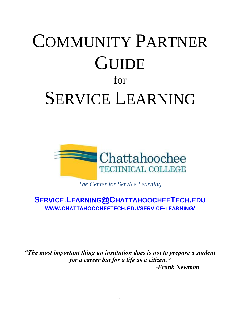# COMMUNITY PARTNER **GUIDE** for SERVICE LEARNING



*The Center for Service Learning*

**SERVICE.LEARNING@C[HATTAHOOCHEE](mailto:Service.Learning@ChattahoocheeTech.edu)TECH.EDU WWW.[CHATTAHOOCHEETECH](http://www.chattahoocheetech.edu/service-learning/).EDU/SERVICE-LEARNING/**

*"The most important thing an institution does is not to prepare a student for a career but for a life as a citizen."*

*-Frank Newman*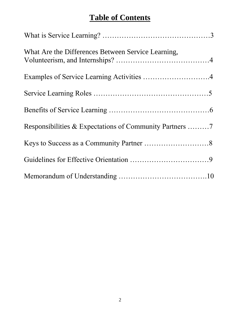## **Table of Contents**

| What Are the Differences Between Service Learning, |  |
|----------------------------------------------------|--|
| Examples of Service Learning Activities 4          |  |
|                                                    |  |
|                                                    |  |
|                                                    |  |
|                                                    |  |
|                                                    |  |
|                                                    |  |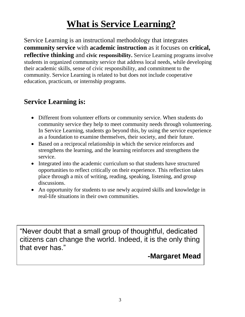# **What is Service Learning?**

Service Learning is an instructional methodology that integrates **community service** with **academic instruction** as it focuses on **critical, reflective thinking** and **civic responsibility.** Service Learning programs involve students in organized community service that address local needs, while developing their academic skills, sense of civic responsibility, and commitment to the community. Service Learning is related to but does not include cooperative education, practicum, or internship programs.

### **Service Learning is:**

- Different from volunteer efforts or community service. When students do community service they help to meet community needs through volunteering. In Service Learning, students go beyond this, by using the service experience as a foundation to examine themselves, their society, and their future.
- Based on a reciprocal relationship in which the service reinforces and strengthens the learning, and the learning reinforces and strengthens the service.
- Integrated into the academic curriculum so that students have structured opportunities to reflect critically on their experience. This reflection takes place through a mix of writing, reading, speaking, listening, and group discussions.
- An opportunity for students to use newly acquired skills and knowledge in real-life situations in their own communities.

"Never doubt that a small group of thoughtful, dedicated citizens can change the world. Indeed, it is the only thing that ever has."

### **-Margaret Mead**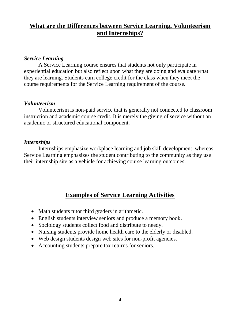#### **What are the Differences between Service Learning, Volunteerism and Internships?**

#### *Service Learning*

A Service Learning course ensures that students not only participate in experiential education but also reflect upon what they are doing and evaluate what they are learning. Students earn college credit for the class when they meet the course requirements for the Service Learning requirement of the course.

#### *Volunteerism*

Volunteerism is non-paid service that is generally not connected to classroom instruction and academic course credit. It is merely the giving of service without an academic or structured educational component.

#### *Internships*

Internships emphasize workplace learning and job skill development, whereas Service Learning emphasizes the student contributing to the community as they use their internship site as a vehicle for achieving course learning outcomes.

#### **Examples of Service Learning Activities**

- Math students tutor third graders in arithmetic.
- English students interview seniors and produce a memory book.
- Sociology students collect food and distribute to needy.
- Nursing students provide home health care to the elderly or disabled.
- Web design students design web sites for non-profit agencies.
- Accounting students prepare tax returns for seniors.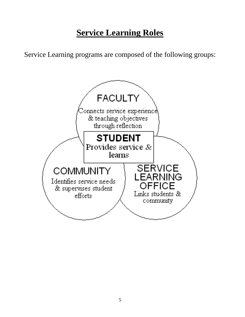# **Service Learning Roles**

Service Learning programs are composed of the following groups:

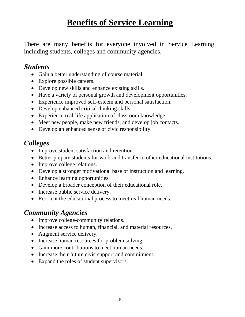# **Benefits of Service Learning**

There are many benefits for everyone involved in Service Learning, including students, colleges and community agencies.

### *Students*

- Gain a better understanding of course material.
- Explore possible careers.
- Develop new skills and enhance existing skills.
- Have a variety of personal growth and development opportunities.
- Experience improved self-esteem and personal satisfaction.
- Develop enhanced critical thinking skills.
- Experience real-life application of classroom knowledge.
- Meet new people, make new friends, and develop job contacts.
- Develop an enhanced sense of civic responsibility.

### *Colleges*

- Improve student satisfaction and retention.
- Better prepare students for work and transfer to other educational institutions.
- Improve college relations.
- Develop a stronger motivational base of instruction and learning.
- Enhance learning opportunities.
- Develop a broader conception of their educational role.
- Increase public service delivery.
- Reorient the educational process to meet real human needs.

### *Community Agencies*

- Improve college-community relations.
- Increase access to human, financial, and material resources.
- Augment service delivery.
- Increase human resources for problem solving.
- Gain more contributions to meet human needs.
- Increase their future civic support and commitment.
- Expand the roles of student supervisors.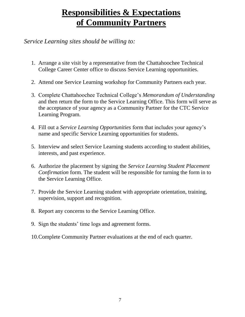# **Responsibilities & Expectations of Community Partners**

#### *Service Learning sites should be willing to:*

- 1. Arrange a site visit by a representative from the Chattahoochee Technical College Career Center office to discuss Service Learning opportunities.
- 2. Attend one Service Learning workshop for Community Partners each year.
- 3. Complete Chattahoochee Technical College's *Memorandum of Understanding*  and then return the form to the Service Learning Office. This form will serve as the acceptance of your agency as a Community Partner for the CTC Service Learning Program.
- 4. Fill out a *Service Learning Opportunities* form that includes your agency's name and specific Service Learning opportunities for students.
- 5. Interview and select Service Learning students according to student abilities, interests, and past experience.
- 6. Authorize the placement by signing the *Service Learning Student Placement Confirmation* form. The student will be responsible for turning the form in to the Service Learning Office.
- 7. Provide the Service Learning student with appropriate orientation, training, supervision, support and recognition.
- 8. Report any concerns to the Service Learning Office.
- 9. Sign the students' time logs and agreement forms.
- 10.Complete Community Partner evaluations at the end of each quarter.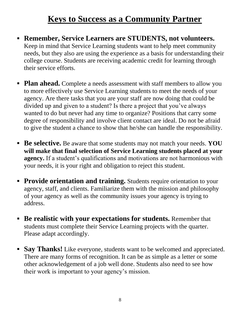# **Keys to Success as a Community Partner**

- **Remember, Service Learners are STUDENTS, not volunteers.** Keep in mind that Service Learning students want to help meet community needs, but they also are using the experience as a basis for understanding their college course. Students are receiving academic credit for learning through their service efforts.
- **Plan ahead.** Complete a needs assessment with staff members to allow you to more effectively use Service Learning students to meet the needs of your agency. Are there tasks that you are your staff are now doing that could be divided up and given to a student? Is there a project that you've always wanted to do but never had any time to organize? Positions that carry some degree of responsibility and involve client contact are ideal. Do not be afraid to give the student a chance to show that he/she can handle the responsibility.
- **Be selective.** Be aware that some students may not match your needs. **YOU will make that final selection of Service Learning students placed at your agency.** If a student's qualifications and motivations are not harmonious with your needs, it is your right and obligation to reject this student.
- **Provide orientation and training.** Students require orientation to your agency, staff, and clients. Familiarize them with the mission and philosophy of your agency as well as the community issues your agency is trying to address.
- **Be realistic with your expectations for students.** Remember that students must complete their Service Learning projects with the quarter. Please adapt accordingly.
- **Say Thanks!** Like everyone, students want to be welcomed and appreciated. There are many forms of recognition. It can be as simple as a letter or some other acknowledgement of a job well done. Students also need to see how their work is important to your agency's mission.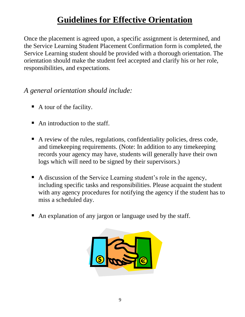# **Guidelines for Effective Orientation**

Once the placement is agreed upon, a specific assignment is determined, and the Service Learning Student Placement Confirmation form is completed, the Service Learning student should be provided with a thorough orientation. The orientation should make the student feel accepted and clarify his or her role, responsibilities, and expectations.

### *A general orientation should include:*

- A tour of the facility.
- An introduction to the staff.
- A review of the rules, regulations, confidentiality policies, dress code, and timekeeping requirements. (Note: In addition to any timekeeping records your agency may have, students will generally have their own logs which will need to be signed by their supervisors.)
- A discussion of the Service Learning student's role in the agency, including specific tasks and responsibilities. Please acquaint the student with any agency procedures for notifying the agency if the student has to miss a scheduled day.
- An explanation of any jargon or language used by the staff.